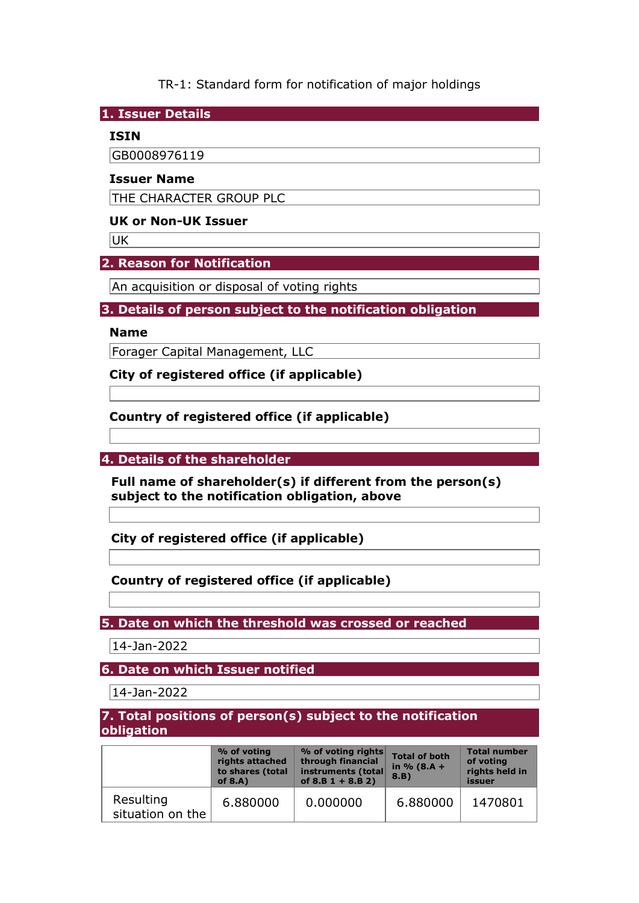TR-1: Standard form for notification of major holdings

**1. Issuer Details** 

#### **ISIN**

GB0008976119

#### **Issuer Name**

THE CHARACTER GROUP PLC

# **UK or Non-UK Issuer**

**UK** 

## **2. Reason for Notification**

An acquisition or disposal of voting rights

## **3. Details of person subject to the notification obligation**

#### **Name**

Forager Capital Management, LLC

**City of registered office (if applicable)** 

# **Country of registered office (if applicable)**

**4. Details of the shareholder** 

**Full name of shareholder(s) if different from the person(s) subject to the notification obligation, above** 

**City of registered office (if applicable)** 

## **Country of registered office (if applicable)**

**5. Date on which the threshold was crossed or reached** 

14-Jan-2022

**6. Date on which Issuer notified** 

14-Jan-2022

### **7. Total positions of person(s) subject to the notification obligation**

|                               | % of voting<br>rights attached<br>to shares (total<br>of $8.A$ ) | % of voting rights<br>through financial<br>instruments (total<br>of $8.B 1 + 8.B 2)$ | <b>Total of both</b><br>in $% (8.A +$<br>8.B) | <b>Total number</b><br>of voting<br>rights held in<br>issuer |
|-------------------------------|------------------------------------------------------------------|--------------------------------------------------------------------------------------|-----------------------------------------------|--------------------------------------------------------------|
| Resulting<br>situation on the | 6.880000                                                         | 0.000000                                                                             | 6.880000                                      | 1470801                                                      |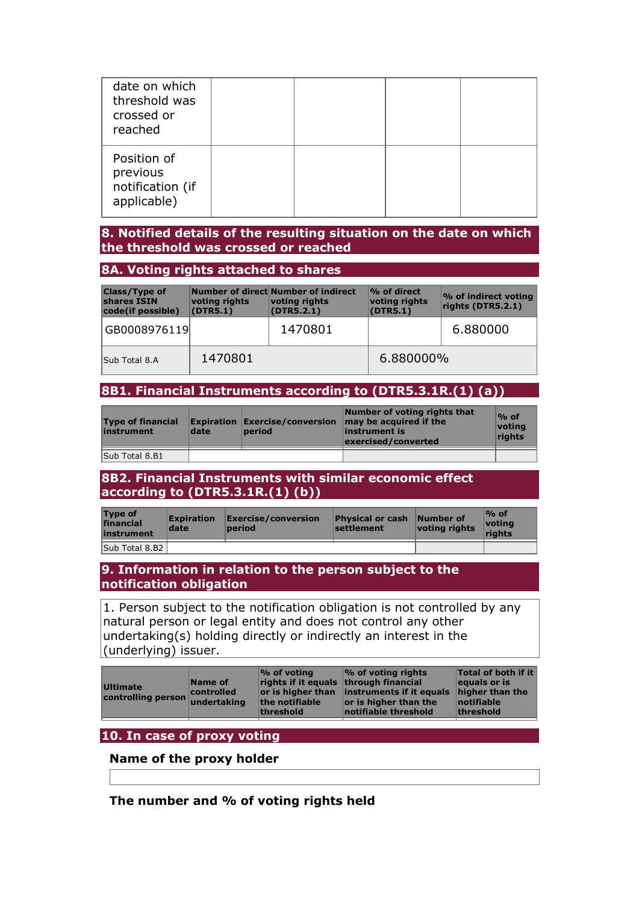| date on which<br>threshold was<br>crossed or<br>reached    |  |  |
|------------------------------------------------------------|--|--|
| Position of<br>previous<br>notification (if<br>applicable) |  |  |

#### **8. Notified details of the resulting situation on the date on which the threshold was crossed or reached**

#### **8A. Voting rights attached to shares**

| <b>Class/Type of</b><br>shares ISIN<br>code(if possible) | voting rights<br>(DTR5.1) | Number of direct Number of indirect<br>voting rights<br>(DTR5.2.1) | % of direct<br>voting rights<br>(DTR5.1) | % of indirect voting<br>rights (DTR5.2.1) |
|----------------------------------------------------------|---------------------------|--------------------------------------------------------------------|------------------------------------------|-------------------------------------------|
| GB0008976119                                             |                           | 1470801                                                            |                                          | 6.880000                                  |
| Sub Total 8.A                                            | 1470801                   |                                                                    | 6.880000%                                |                                           |

## **8B1. Financial Instruments according to (DTR5.3.1R.(1) (a))**

| <b>Type of financial</b><br>instrument | date | period | Number of voting rights that<br><b>Expiration Exercise/conversion <math>\vert</math> may be acquired if the</b><br>linstrument is<br>exercised/converted | $\%$ of<br>votina<br>rights |
|----------------------------------------|------|--------|----------------------------------------------------------------------------------------------------------------------------------------------------------|-----------------------------|
| Sub Total 8.B1                         |      |        |                                                                                                                                                          |                             |

### **8B2. Financial Instruments with similar economic effect according to (DTR5.3.1R.(1) (b))**

| <b>Type of</b><br>financial<br>instrument | <b>Expiration</b><br>date | $\mathsf{\mathsf{Exercise}/}\mathsf{conversion}$<br>period | <b>Physical or cash</b><br><b>settlement</b> | Number of<br>voting rights | $\%$ of<br><u> votina</u><br>riahts |
|-------------------------------------------|---------------------------|------------------------------------------------------------|----------------------------------------------|----------------------------|-------------------------------------|
| Sub Total 8.B2                            |                           |                                                            |                                              |                            |                                     |

### **9. Information in relation to the person subject to the notification obligation**

1. Person subject to the notification obligation is not controlled by any natural person or legal entity and does not control any other undertaking(s) holding directly or indirectly an interest in the (underlying) issuer.

| <b>Ultimate</b><br>controlling person | Name of<br>controlled<br>undertaking | $\%$ of voting<br>rights if it equals through financial<br>the notifiable<br>threshold | <b>1% of voting rights</b><br>or is higher than instruments if it equals<br>or is higher than the<br>notifiable threshold | Total of both if it<br>equals or is<br>higher than the<br>notifiable<br>threshold |
|---------------------------------------|--------------------------------------|----------------------------------------------------------------------------------------|---------------------------------------------------------------------------------------------------------------------------|-----------------------------------------------------------------------------------|
|                                       |                                      |                                                                                        |                                                                                                                           |                                                                                   |

## **10. In case of proxy voting**

### **Name of the proxy holder**

**The number and % of voting rights held**